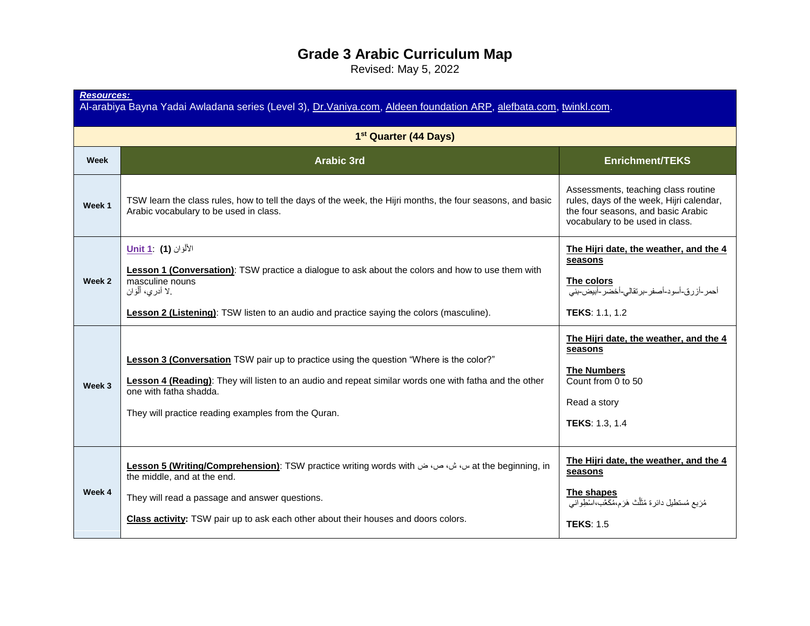## **Grade 3 Arabic Curriculum Map**

Revised: May 5, 2022

| <b>Resources:</b><br>Al-arabiya Bayna Yadai Awladana series (Level 3), Dr. Vaniya.com, Aldeen foundation ARP, alefbata.com, twinkl.com. |                                                                                                                                                                                                                                                                                    |                                                                                                                                                          |  |
|-----------------------------------------------------------------------------------------------------------------------------------------|------------------------------------------------------------------------------------------------------------------------------------------------------------------------------------------------------------------------------------------------------------------------------------|----------------------------------------------------------------------------------------------------------------------------------------------------------|--|
| 1 <sup>st</sup> Quarter (44 Days)                                                                                                       |                                                                                                                                                                                                                                                                                    |                                                                                                                                                          |  |
| Week                                                                                                                                    | <b>Arabic 3rd</b>                                                                                                                                                                                                                                                                  | <b>Enrichment/TEKS</b>                                                                                                                                   |  |
| Week 1                                                                                                                                  | TSW learn the class rules, how to tell the days of the week, the Hijri months, the four seasons, and basic<br>Arabic vocabulary to be used in class.                                                                                                                               | Assessments, teaching class routine<br>rules, days of the week, Hijri calendar,<br>the four seasons, and basic Arabic<br>vocabulary to be used in class. |  |
| Week 2                                                                                                                                  | الألْوَان <b>(1) Unit 1</b><br>Lesson 1 (Conversation): TSW practice a dialogue to ask about the colors and how to use them with<br>masculine nouns<br>لا أدري، أَلْوَان<br><b>Lesson 2 (Listening)</b> : TSW listen to an audio and practice saying the colors (masculine).       | The Hijri date, the weather, and the 4<br>seasons<br>The colors<br>أحمر ـأزرق-أسود-أصفر ـبرتقالي-أخضر ـأبيض-بني<br><b>TEKS: 1.1, 1.2</b>                 |  |
| Week 3                                                                                                                                  | Lesson 3 (Conversation TSW pair up to practice using the question "Where is the color?"<br>Lesson 4 (Reading): They will listen to an audio and repeat similar words one with fatha and the other<br>one with fatha shadda.<br>They will practice reading examples from the Quran. | The Hijri date, the weather, and the 4<br>seasons<br><b>The Numbers</b><br>Count from 0 to 50<br>Read a story<br><b>TEKS: 1.3, 1.4</b>                   |  |
| Week 4                                                                                                                                  | at the beginning, in س، ش، ص، ث Hesson 5 (Writing/Comprehension): TSW practice writing words with<br>the middle, and at the end.<br>They will read a passage and answer questions.<br>Class activity: TSW pair up to ask each other about their houses and doors colors.           | The Hijri date, the weather, and the 4<br>seasons<br>The shapes<br>مُرَبِعٍ مُستطيلٍ دائرِةٍ مُثَلَّثٍ هَرَمٍ،مُكَعَّبٍ،اسْطِوانِي<br><b>TEKS: 1.5</b>   |  |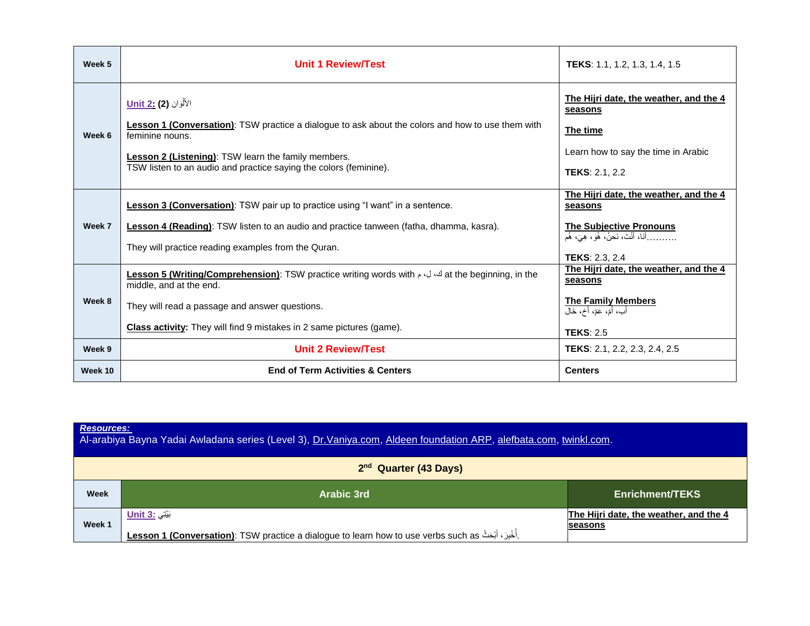| Week 5           | <b>Unit 1 Review/Test</b>                                                                                                                                                                                                                                                                       | <b>TEKS:</b> 1.1, 1.2, 1.3, 1.4, 1.5                                                                                                                              |
|------------------|-------------------------------------------------------------------------------------------------------------------------------------------------------------------------------------------------------------------------------------------------------------------------------------------------|-------------------------------------------------------------------------------------------------------------------------------------------------------------------|
| Week 6           | الأَلْوَان <b>(2) Unit 2</b><br><b>Lesson 1 (Conversation)</b> : TSW practice a dialogue to ask about the colors and how to use them with<br>feminine nouns.<br><b>Lesson 2 (Listening): TSW learn the family members.</b><br>TSW listen to an audio and practice saying the colors (feminine). | The Hijri date, the weather, and the 4<br>seasons<br>The time<br>Learn how to say the time in Arabic<br><b>TEKS: 2.1, 2.2</b>                                     |
| Week 7           | <b>Lesson 3 (Conversation)</b> : TSW pair up to practice using "I want" in a sentence.<br>Lesson 4 (Reading): TSW listen to an audio and practice tanween (fatha, dhamma, kasra).<br>They will practice reading examples from the Quran.                                                        | The Hijri date, the weather, and the 4<br>seasons<br><b>The Subjective Pronouns</b><br>أَنَا، أَنْتَ، نَحنُ، هُوَ، هِيَ، هُم<br><b>TEKS: 2.3, 2.4</b>             |
| Week 8<br>Week 9 | Lesson 5 (Writing/Comprehension): TSW practice writing words with $\omega$ id at the beginning, in the<br>middle, and at the end.<br>They will read a passage and answer questions.<br><b>Class activity:</b> They will find 9 mistakes in 2 same pictures (game).<br><b>Unit 2 Review/Test</b> | The Hijri date, the weather, and the 4<br>seasons<br><b>The Family Members</b><br>أَب، أُمّ، عَمّ، أَخ، خَال<br><b>TEKS: 2.5</b><br>TEKS: 2.1, 2.2, 2.3, 2.4, 2.5 |
| Week 10          | <b>End of Term Activities &amp; Centers</b>                                                                                                                                                                                                                                                     | <b>Centers</b>                                                                                                                                                    |

| <b>Resources:</b><br>Al-arabiya Bayna Yadai Awladana series (Level 3), Dr. Vaniya.com, Aldeen foundation ARP, alefbata.com, twinkl.com. |                                                                                                                                       |                                                          |
|-----------------------------------------------------------------------------------------------------------------------------------------|---------------------------------------------------------------------------------------------------------------------------------------|----------------------------------------------------------|
| 2 <sup>nd</sup> Quarter (43 Days)                                                                                                       |                                                                                                                                       |                                                          |
| Week                                                                                                                                    | Arabic 3rd                                                                                                                            | <b>Enrichment/TEKS</b>                                   |
| Week 1                                                                                                                                  | بَيْتِي : Unit 3<br>Lesson 1 (Conversation): TSW practice a dialogue to learn how to use verbs such as . أُخْبِرَ ، أَبْحَثُ Lesson 1 | The Hijri date, the weather, and the 4<br><b>seasons</b> |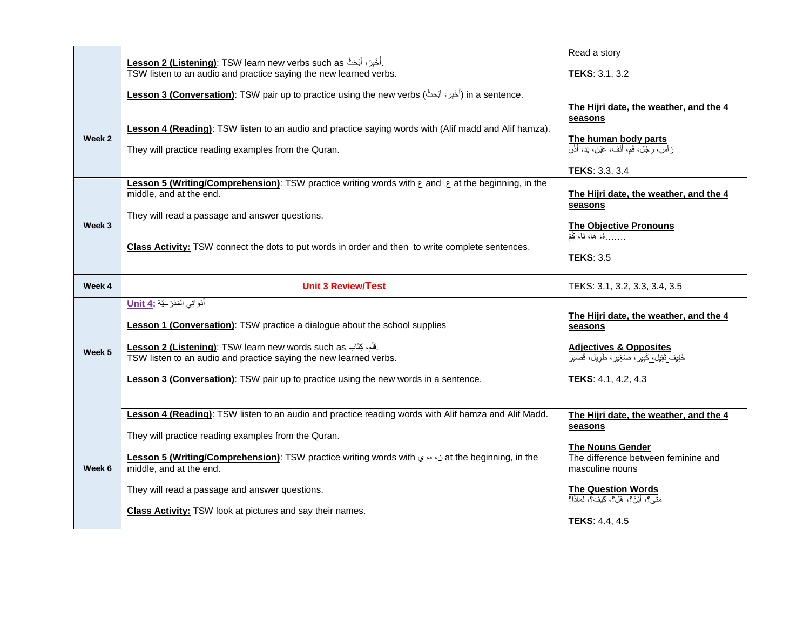|        | Lesson 2 (Listening): TSW learn new verbs such as أُخْبِرَ ، أَبْحَثُ Lesson 2                                                                                                                                                                                                                 | Read a story                                                                                                                                            |
|--------|------------------------------------------------------------------------------------------------------------------------------------------------------------------------------------------------------------------------------------------------------------------------------------------------|---------------------------------------------------------------------------------------------------------------------------------------------------------|
|        | TSW listen to an audio and practice saying the new learned verbs.                                                                                                                                                                                                                              | TEKS: 3.1, 3.2                                                                                                                                          |
|        | .in a sentence (أُخْرِنَ أَبْحَثُ) (Conversation): TSW pair up to practice using the new verbs (أُخْرِنَ أَبْحَثُ                                                                                                                                                                              |                                                                                                                                                         |
| Week 2 | Lesson 4 (Reading): TSW listen to an audio and practice saying words with (Alif madd and Alif hamza).<br>They will practice reading examples from the Quran.                                                                                                                                   | The Hijri date, the weather, and the 4<br>seasons<br>The human body parts<br>رَأْسَ، رِجْلَ، فَم، أَنْفٍ، عَيْنٍ، بَدٍ، أَذَّن<br><b>TEKS: 3.3, 3.4</b> |
|        | Lesson 5 (Writing/Comprehension): TSW practice writing words with $\epsilon$ and $\dot{\epsilon}$ at the beginning, in the<br>middle, and at the end.                                                                                                                                          | The Hijri date, the weather, and the 4<br>seasons                                                                                                       |
| Week 3 | They will read a passage and answer questions.                                                                                                                                                                                                                                                 | <b>The Objective Pronouns</b><br>هُ، هَا، نَا، كُمْ                                                                                                     |
|        | Class Activity: TSW connect the dots to put words in order and then to write complete sentences.                                                                                                                                                                                               | <b>TEKS: 3.5</b>                                                                                                                                        |
| Week 4 | <b>Unit 3 Review/Test</b>                                                                                                                                                                                                                                                                      | TEKS: 3.1, 3.2, 3.3, 3.4, 3.5                                                                                                                           |
| Week 5 | أَدَوَاتِي الْمَدْرَسِيَّة : Unit 4<br><b>Lesson 1 (Conversation)</b> : TSW practice a dialogue about the school supplies<br>Lesson 2 (Listening): TSW learn new words such as الله عليه، كِتَاب Sw lesson 2 (Listening):<br>TSW listen to an audio and practice saying the new learned verbs. | The Hijri date, the weather, and the 4<br>seasons<br><b>Adjectives &amp; Opposites</b><br>خَفِيف تَقِيل، كَبِيرِ ، صَغِيرٍ ، طَوِيل، قَصِيرِ            |
|        | <b>Lesson 3 (Conversation)</b> : TSW pair up to practice using the new words in a sentence.                                                                                                                                                                                                    | TEKS: 4.1, 4.2, 4.3                                                                                                                                     |
|        | Lesson 4 (Reading): TSW listen to an audio and practice reading words with Alif hamza and Alif Madd.                                                                                                                                                                                           | The Hijri date, the weather, and the 4<br>seasons                                                                                                       |
|        | They will practice reading examples from the Quran.                                                                                                                                                                                                                                            | <b>The Nouns Gender</b>                                                                                                                                 |
| Week 6 | Lesson 5 (Writing/Comprehension): TSW practice writing words with $\omega \omega$ at the beginning, in the<br>middle, and at the end.                                                                                                                                                          | The difference between feminine and<br>masculine nouns                                                                                                  |
|        | They will read a passage and answer questions.                                                                                                                                                                                                                                                 | <b>The Question Words</b><br>مَتَى؟، أَبْنَ؟، هَل؟، كَيفَ؟، لِمَاذَا؟                                                                                   |
|        | <b>Class Activity:</b> TSW look at pictures and say their names.                                                                                                                                                                                                                               | <b>TEKS: 4.4, 4.5</b>                                                                                                                                   |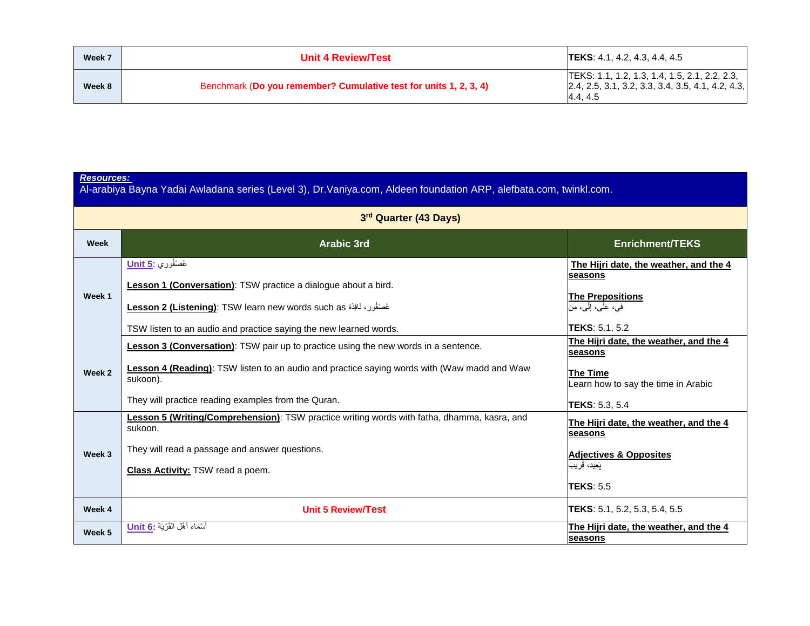| Week 7 | <b>Unit 4 Review/Test</b>                                         | <b>TEKS</b> : 4.1, 4.2, 4.3, 4.4, 4.5                                                                            |
|--------|-------------------------------------------------------------------|------------------------------------------------------------------------------------------------------------------|
| Week 8 | Benchmark (Do you remember? Cumulative test for units 1, 2, 3, 4) | TEKS: 1.1, 1.2, 1.3, 1.4, 1.5, 2.1, 2.2, 2.3,<br>$[2.4, 2.5, 3.1, 3.2, 3.3, 3.4, 3.5, 4.1, 4.2, 4.3,$<br>4.4.4.5 |

| <b>Resources:</b><br>Al-arabiya Bayna Yadai Awladana series (Level 3), Dr. Vaniya.com, Aldeen foundation ARP, alefbata.com, twinkl.com. |                                                                                                                                                                                                                                                               |                                                                                                                                      |
|-----------------------------------------------------------------------------------------------------------------------------------------|---------------------------------------------------------------------------------------------------------------------------------------------------------------------------------------------------------------------------------------------------------------|--------------------------------------------------------------------------------------------------------------------------------------|
| 3rd Quarter (43 Days)                                                                                                                   |                                                                                                                                                                                                                                                               |                                                                                                                                      |
| Week                                                                                                                                    | <b>Arabic 3rd</b>                                                                                                                                                                                                                                             | <b>Enrichment/TEKS</b>                                                                                                               |
| Week 1                                                                                                                                  | غَصْنُوْرِي .Unit 5<br>Lesson 1 (Conversation): TSW practice a dialogue about a bird.<br>Lesson 2 (Listening): TSW learn new words such as غُصْنُوْرٍ ، نَافِذَة<br>TSW listen to an audio and practice saying the new learned words.                         | The Hijri date, the weather, and the 4<br>seasons<br><b>The Prepositions</b><br>فِي، عَلَى، إِلَى، مِن<br><b>TEKS: 5.1, 5.2</b>      |
| Week 2                                                                                                                                  | <b>Lesson 3 (Conversation)</b> : TSW pair up to practice using the new words in a sentence.<br>Lesson 4 (Reading): TSW listen to an audio and practice saying words with (Waw madd and Waw<br>sukoon).<br>They will practice reading examples from the Quran. | The Hijri date, the weather, and the 4<br>seasons<br><b>The Time</b><br>Learn how to say the time in Arabic<br><b>TEKS: 5.3, 5.4</b> |
| Week 3                                                                                                                                  | Lesson 5 (Writing/Comprehension): TSW practice writing words with fatha, dhamma, kasra, and<br>sukoon.<br>They will read a passage and answer questions.<br><b>Class Activity: TSW read a poem.</b>                                                           | The Hijri date, the weather, and the 4<br>seasons<br><b>Adjectives &amp; Opposites</b><br>بَعِيد، قريب<br><b>TEKS: 5.5</b>           |
| Week 4                                                                                                                                  | <b>Unit 5 Review/Test</b>                                                                                                                                                                                                                                     | <b>TEKS</b> : 5.1, 5.2, 5.3, 5.4, 5.5                                                                                                |
| Week 5                                                                                                                                  | اسْمَاء أَهْل الْقَرْيَة : <u>Unit 6</u>                                                                                                                                                                                                                      | The Hijri date, the weather, and the 4<br>seasons                                                                                    |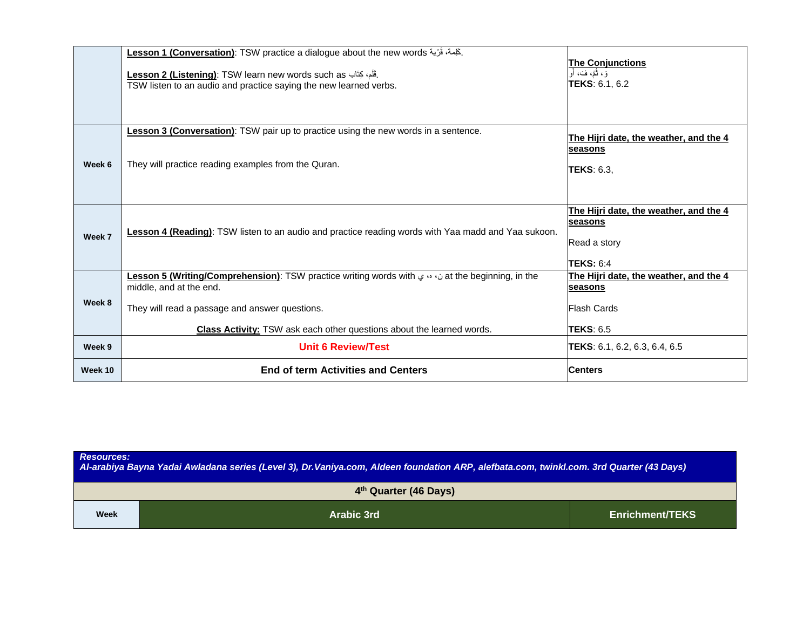|         | Lesson 1 (Conversation): TSW practice a dialogue about the new words . كَلِمة، قَرْية                                                                           |                                        |
|---------|-----------------------------------------------------------------------------------------------------------------------------------------------------------------|----------------------------------------|
|         |                                                                                                                                                                 | <b>The Conjunctions</b>                |
|         | Lesson 2 (Listening): TSW learn new words such as ِلْخَلْمِ، كِتَاب                                                                                             | َوَ، ثُمَّ، فَ، أَو                    |
|         | TSW listen to an audio and practice saying the new learned verbs.                                                                                               | TEKS: 6.1, 6.2                         |
|         |                                                                                                                                                                 |                                        |
|         |                                                                                                                                                                 |                                        |
|         |                                                                                                                                                                 |                                        |
|         | <b>Lesson 3 (Conversation)</b> : TSW pair up to practice using the new words in a sentence.                                                                     | The Hijri date, the weather, and the 4 |
|         |                                                                                                                                                                 | seasons                                |
| Week 6  | They will practice reading examples from the Quran.                                                                                                             |                                        |
|         |                                                                                                                                                                 | <b>TEKS: 6.3.</b>                      |
|         |                                                                                                                                                                 |                                        |
|         |                                                                                                                                                                 |                                        |
|         |                                                                                                                                                                 | The Hijri date, the weather, and the 4 |
|         |                                                                                                                                                                 | seasons                                |
| Week 7  | Lesson 4 (Reading): TSW listen to an audio and practice reading words with Yaa madd and Yaa sukoon.                                                             |                                        |
|         |                                                                                                                                                                 | Read a story                           |
|         |                                                                                                                                                                 |                                        |
|         |                                                                                                                                                                 | <b>TEKS: 6:4</b>                       |
|         | at the beginning, in the in comprehension): TSW practice writing words with $\omega \leftrightarrow \infty$ at the beginning, in the<br>middle, and at the end. | The Hijri date, the weather, and the 4 |
|         |                                                                                                                                                                 | seasons                                |
| Week 8  | They will read a passage and answer questions.                                                                                                                  | <b>Flash Cards</b>                     |
|         |                                                                                                                                                                 |                                        |
|         | Class Activity: TSW ask each other questions about the learned words.                                                                                           | <b>TEKS: 6.5</b>                       |
| Week 9  | <b>Unit 6 Review/Test</b>                                                                                                                                       | <b>TEKS</b> : 6.1, 6.2, 6.3, 6.4, 6.5  |
|         |                                                                                                                                                                 |                                        |
| Week 10 | <b>End of term Activities and Centers</b>                                                                                                                       | <b>Centers</b>                         |
|         |                                                                                                                                                                 |                                        |

| <b>Resources:</b><br>Al-arabiya Bayna Yadai Awladana series (Level 3), Dr.Vaniya.com, Aldeen foundation ARP, alefbata.com, twinkl.com. 3rd Quarter (43 Days) |            |                 |  |
|--------------------------------------------------------------------------------------------------------------------------------------------------------------|------------|-----------------|--|
| 4th Quarter (46 Days)                                                                                                                                        |            |                 |  |
| Week                                                                                                                                                         | Arabic 3rd | Enrichment/TEKS |  |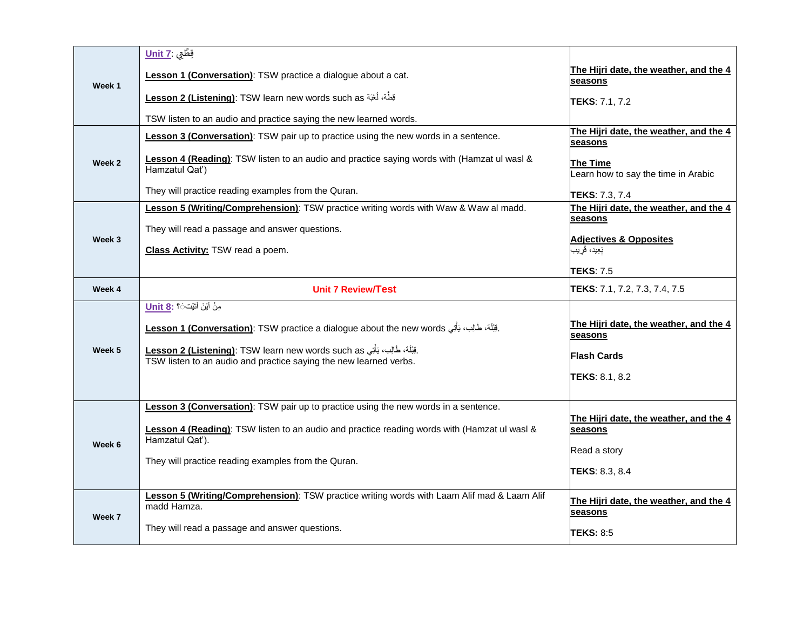|        | قِطَّتِي <b>Unit 7</b>                                                                                        |                                                    |
|--------|---------------------------------------------------------------------------------------------------------------|----------------------------------------------------|
| Week 1 | Lesson 1 (Conversation): TSW practice a dialogue about a cat.                                                 | The Hijri date, the weather, and the 4<br>seasons  |
|        | <u>Lesson 2 (Listening)</u> : TSW learn new words such as بَطِّة، لُغْبَة                                     | <b>ITEKS</b> : 7.1, 7.2                            |
|        | TSW listen to an audio and practice saying the new learned words.                                             |                                                    |
|        | <b>Lesson 3 (Conversation)</b> : TSW pair up to practice using the new words in a sentence.                   | The Hijri date, the weather, and the 4<br>seasons  |
| Week 2 | Lesson 4 (Reading): TSW listen to an audio and practice saying words with (Hamzat ul wasl &<br>Hamzatul Qat') | The Time<br>Learn how to say the time in Arabic    |
|        | They will practice reading examples from the Quran.                                                           | <b>TEKS: 7.3, 7.4</b>                              |
|        | Lesson 5 (Writing/Comprehension): TSW practice writing words with Waw & Waw al madd.                          | The Hijri date, the weather, and the 4<br>seasons  |
|        | They will read a passage and answer questions.                                                                |                                                    |
| Week 3 | <b>Class Activity: TSW read a poem.</b>                                                                       | <b>Adjectives &amp; Opposites</b><br>بَعِيد، قَريب |
|        |                                                                                                               | <b>TEKS: 7.5</b>                                   |
| Week 4 | <b>Unit 7 Review/Test</b>                                                                                     | <b>TEKS:</b> 7.1, 7.2, 7.3, 7.4, 7.5               |
|        | مِنْ أَيْنَ أَتَيْتَ $\sim$ <b>18:</b> Unit 8:                                                                |                                                    |
|        | قِبْلَة، طَالِب، يَأْتِي <u>Lesson 1 (Conversation)</u> : TSW practice a dialogue about the new words.        | The Hijri date, the weather, and the 4<br>seasons  |
| Week 5 | .قِبْلَهُ، طَالِب، يَأْتِي <u>Lesson 2 (Listening)</u> : TSW learn new words such as                          |                                                    |
|        | TSW listen to an audio and practice saying the new learned verbs.                                             | <b>Flash Cards</b>                                 |
|        |                                                                                                               | TEKS: 8.1, 8.2                                     |
|        |                                                                                                               |                                                    |
|        | Lesson 3 (Conversation): TSW pair up to practice using the new words in a sentence.                           | The Hijri date, the weather, and the 4             |
|        | Lesson 4 (Reading): TSW listen to an audio and practice reading words with (Hamzat ul wasl &                  | seasons                                            |
| Week 6 | Hamzatul Qat').                                                                                               | Read a story                                       |
|        | They will practice reading examples from the Quran.                                                           | TEKS: 8.3, 8.4                                     |
|        | Lesson 5 (Writing/Comprehension): TSW practice writing words with Laam Alif mad & Laam Alif                   |                                                    |
| Week 7 | madd Hamza.                                                                                                   | The Hijri date, the weather, and the 4<br>seasons  |